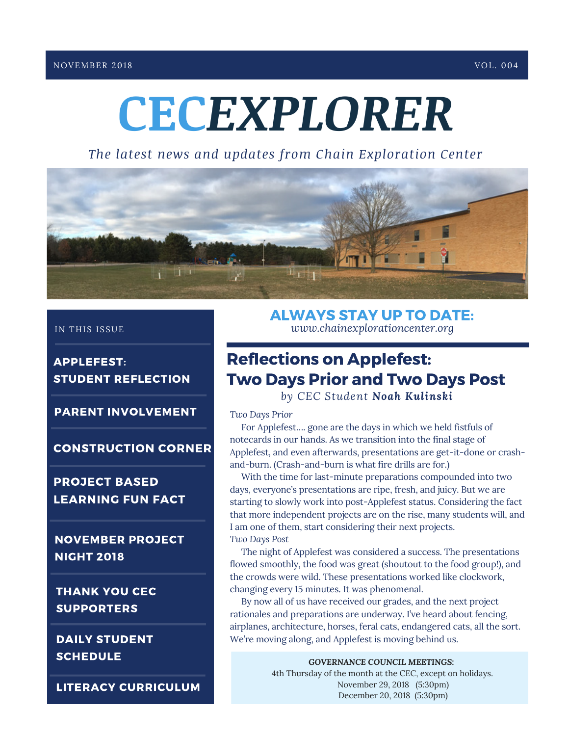# **CEC***EXPLORER*

*The latest news and updates from Chain Exploration Center*



**APPLEFEST: STUDENT REFLECTION** 

**PARENT INVOLVEMENT** 

**CONSTRUCTION CORNER** 

**PROJECT BASED LEARNING FUN FACT** 

**NOVEMBER PROJECT NIGHT 2018** 

**THANK YOU CEC SUPPORTERS** 

**DAILY STUDENT SCHEDULE** 

**LITERACY CURRICULUM** 

**ALWAYS STAY UP TO DATE:** IN THIS ISSUE *www.chainexplorationcenter.org*

#### **Reflections on Applefest: Two Days Prior and Two Days Post**

*by CEC Student Noah Kulinski*

#### *Two Days Prior*

For Applefest…. gone are the days in which we held fistfuls of notecards in our hands. As we transition into the final stage of Applefest, and even afterwards, presentations are get-it-done or crashand-burn. (Crash-and-burn is what fire drills are for.)

With the time for last-minute preparations compounded into two days, everyone's presentations are ripe, fresh, and juicy. But we are starting to slowly work into post-Applefest status. Considering the fact that more independent projects are on the rise, many students will, and I am one of them, start considering their next projects. *Two Days Post*

The night of Applefest was considered a success. The presentations flowed smoothly, the food was great (shoutout to the food group!), and the crowds were wild. These presentations worked like clockwork, changing every 15 minutes. It was phenomenal.

By now all of us have received our grades, and the next project rationales and preparations are underway. I've heard about fencing, airplanes, architecture, horses, feral cats, endangered cats, all the sort. We're moving along, and Applefest is moving behind us.

> *GOVERNANCE COUNCIL MEETINGS:* 4th Thursday of the month at the CEC, except on holidays. November 29, 2018 (5:30pm) December 20, 2018 (5:30pm)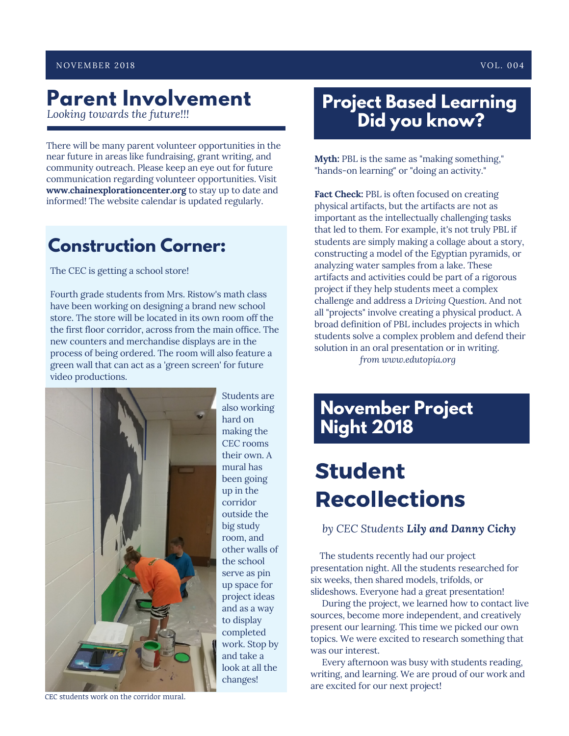# **Parent Involvement**<br>Looking towards the future!!!

There will be many parent volunteer opportunities in the near future in areas like fundraising, grant writing, and community outreach. Please keep an eye out for future communication regarding volunteer opportunities. Visit **www.chainexplorationcenter.org** to stay up to date and informed! The website calendar is updated regularly.

#### **Construction Corner:**

The CEC is getting <sup>a</sup> school store!

Fourth grade students from Mrs. Ristow's math class have been working on designing <sup>a</sup> brand new school store. The store will be located in its own room off the the first floor corridor, across from the main office. The new counters and merchandise displays are in the process of being ordered. The room will also feature <sup>a</sup> green wall that can act as <sup>a</sup> 'green screen' for future video productions.



Students are also working hard on making the CEC rooms their own. A mural has been going up in the corridor outside the big study room, and other walls of the school serve as pin up space for project ideas and as a way to display completed work. Stop by and take a look at all the changes!

#### **Project Based Learning**  $Did$  you know?

**Myth:** PBL is the same as "making something," "hands-on learning" or "doing an activity."

**Fact Check:** PBL is often focused on creating physical artifacts, but the artifacts are not as important as the intellectually challenging tasks that led to them. For example, it's not truly PBL if students are simply making a collage about a story, constructing a model of the Egyptian pyramids, or analyzing water samples from a lake. These artifacts and activities could be part of a rigorous project if they help students meet a complex challenge and address a *Driving Question*. And not all "projects" involve creating a physical product. A broad definition of PBL includes projects in which students solve a complex problem and defend their solution in an oral presentation or in writing. *from www.edutopia.org*

#### **November Project Night 2018**

## **Student Recollections**

*by CEC Students Lily and Danny Cichy*

The students recently had our project presentation night. All the students researched for six weeks, then shared models, trifolds, or slideshows. Everyone had a great presentation!

During the project, we learned how to contact live sources, become more independent, and creatively present our learning. This time we picked our own topics. We were excited to research something that was our interest.

Every afternoon was busy with students reading, writing, and learning. We are proud of our work and are excited for our next project!

CEC students work on the corridor mural.